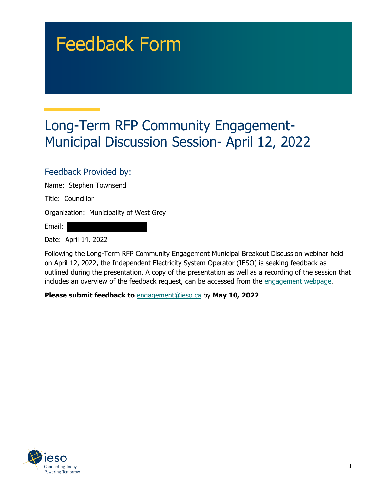## Feedback Form

## Long-Term RFP Community Engagement-Municipal Discussion Session- April 12, 2022

## Feedback Provided by:

Name: Stephen Townsend

Title: Councillor

Organization: Municipality of West Grey

Email:

Date: April 14, 2022

Following the Long-Term RFP Community Engagement Municipal Breakout Discussion webinar held on April 12, 2022, the Independent Electricity System Operator (IESO) is seeking feedback as outlined during the presentation. A copy of the presentation as well as a recording of the session that includes an overview of the feedback request, can be accessed from the [engagement webpage.](https://www.ieso.ca/en/Sector-Participants/Engagement-Initiatives/Engagements/Long-Term-RFP-Community-Engagement)

**Please submit feedback to** engagement@ieso.ca by **May 10, 2022**.

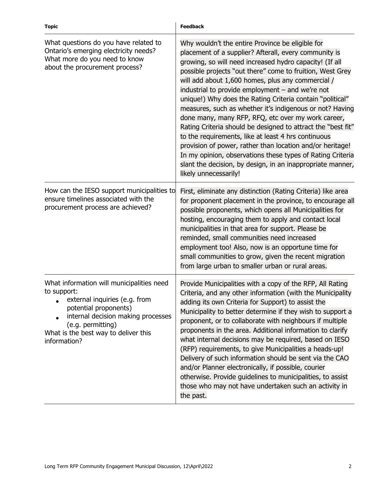| <b>Topic</b>                                                                                                                                                                                                                          | <b>Feedback</b>                                                                                                                                                                                                                                                                                                                                                                                                                                                                                                                                                                                                                                                                                                                                                                                                                                                      |
|---------------------------------------------------------------------------------------------------------------------------------------------------------------------------------------------------------------------------------------|----------------------------------------------------------------------------------------------------------------------------------------------------------------------------------------------------------------------------------------------------------------------------------------------------------------------------------------------------------------------------------------------------------------------------------------------------------------------------------------------------------------------------------------------------------------------------------------------------------------------------------------------------------------------------------------------------------------------------------------------------------------------------------------------------------------------------------------------------------------------|
| What questions do you have related to<br>Ontario's emerging electricity needs?<br>What more do you need to know<br>about the procurement process?                                                                                     | Why wouldn't the entire Province be eligible for<br>placement of a supplier? Afterall, every community is<br>growing, so will need increased hydro capacity! (If all<br>possible projects "out there" come to fruition, West Grey<br>will add about 1,600 homes, plus any commercial /<br>industrial to provide employment $-$ and we're not<br>unique!) Why does the Rating Criteria contain "political"<br>measures, such as whether it's indigenous or not? Having<br>done many, many RFP, RFQ, etc over my work career,<br>Rating Criteria should be designed to attract the "best fit"<br>to the requirements, like at least 4 hrs continuous<br>provision of power, rather than location and/or heritage!<br>In my opinion, observations these types of Rating Criteria<br>slant the decision, by design, in an inappropriate manner,<br>likely unnecessarily! |
| How can the IESO support municipalities to<br>ensure timelines associated with the<br>procurement process are achieved?                                                                                                               | First, eliminate any distinction (Rating Criteria) like area<br>for proponent placement in the province, to encourage all<br>possible proponents, which opens all Municipalities for<br>hosting, encouraging them to apply and contact local<br>municipalities in that area for support. Please be<br>reminded, small communities need increased<br>employment too! Also, now is an opportune time for<br>small communities to grow, given the recent migration<br>from large urban to smaller urban or rural areas.                                                                                                                                                                                                                                                                                                                                                 |
| What information will municipalities need<br>to support:<br>external inquiries (e.g. from<br>potential proponents)<br>internal decision making processes<br>(e.g. permitting)<br>What is the best way to deliver this<br>information? | Provide Municipalities with a copy of the RFP, All Rating<br>Criteria, and any other information (with the Municipality<br>adding its own Criteria for Support) to assist the<br>Municipality to better determine if they wish to support a<br>proponent, or to collaborate with neighbours if multiple<br>proponents in the area. Additional information to clarify<br>what internal decisions may be required, based on IESO<br>(RFP) requirements, to give Municipalities a heads-up!<br>Delivery of such information should be sent via the CAO<br>and/or Planner electronically, if possible, courier<br>otherwise. Provide guidelines to municipalities, to assist<br>those who may not have undertaken such an activity in<br>the past.                                                                                                                       |